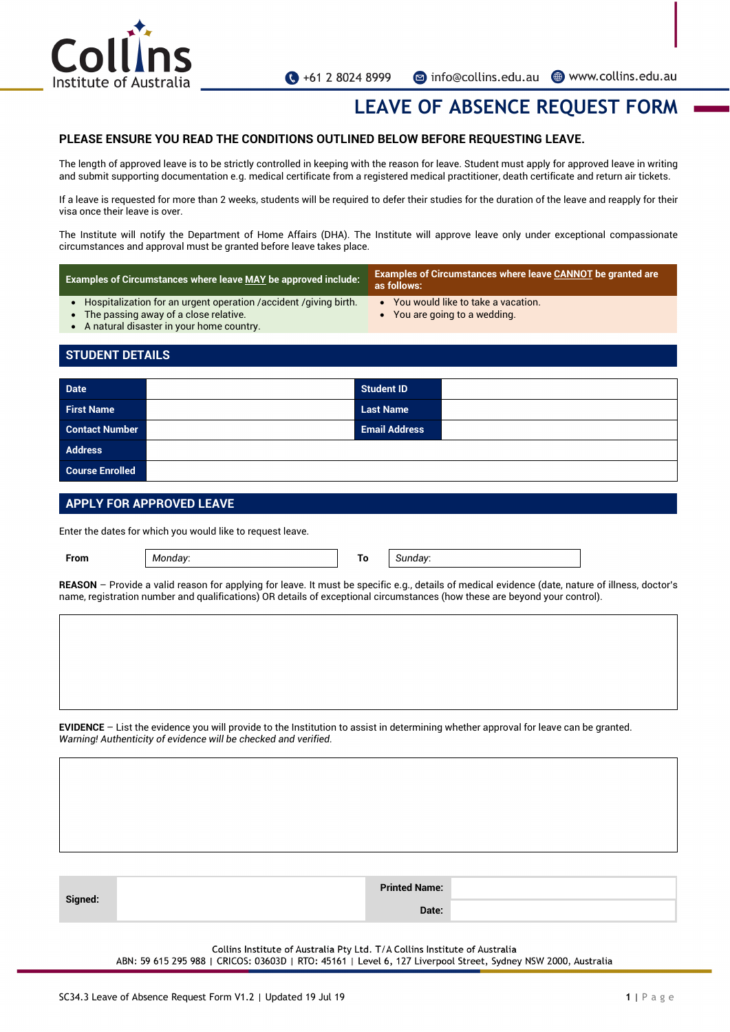

## **LEAVE OF ABSENCE REQUEST FORM**

#### **PLEASE ENSURE YOU READ THE CONDITIONS OUTLINED BELOW BEFORE REQUESTING LEAVE.**

The length of approved leave is to be strictly controlled in keeping with the reason for leave. Student must apply for approved leave in writing and submit supporting documentation e.g. medical certificate from a registered medical practitioner, death certificate and return air tickets.

If a leave is requested for more than 2 weeks, students will be required to defer their studies for the duration of the leave and reapply for their visa once their leave is over.

The Institute will notify the Department of Home Affairs (DHA). The Institute will approve leave only under exceptional compassionate circumstances and approval must be granted before leave takes place.

| <b>Examples of Circumstances where leave MAY be approved include:</b>                                                                                         | <b>Examples of Circumstances where leave CANNOT be granted are</b><br>as follows: |  |  |  |
|---------------------------------------------------------------------------------------------------------------------------------------------------------------|-----------------------------------------------------------------------------------|--|--|--|
| • Hospitalization for an urgent operation / accident / giving birth.<br>• The passing away of a close relative.<br>• A natural disaster in your home country. | • You would like to take a vacation.<br>• You are going to a wedding.             |  |  |  |

### **STUDENT DETAILS**

| <b>Date</b>            | <b>Student ID</b>    |  |
|------------------------|----------------------|--|
| <b>First Name</b>      | <b>Last Name</b>     |  |
| <b>Contact Number</b>  | <b>Email Address</b> |  |
| <b>Address</b>         |                      |  |
| <b>Course Enrolled</b> |                      |  |

#### **APPLY FOR APPROVED LEAVE**

Enter the dates for which you would like to request leave.

**From** *Monday*: **To** *Sunday*:

**REASON** – Provide a valid reason for applying for leave. It must be specific e.g., details of medical evidence (date, nature of illness, doctor's name, registration number and qualifications) OR details of exceptional circumstances (how these are beyond your control).

**EVIDENCE** – List the evidence you will provide to the Institution to assist in determining whether approval for leave can be granted. *Warning! Authenticity of evidence will be checked and verified.*

|         | <b>Printed Name:</b> |       |  |
|---------|----------------------|-------|--|
| Signed: |                      | Date: |  |

Collins Institute of Australia Pty Ltd. T/A Collins Institute of Australia

ABN: 59 615 295 988 | CRICOS: 03603D | RTO: 45161 | Level 6, 127 Liverpool Street, Sydney NSW 2000, Australia